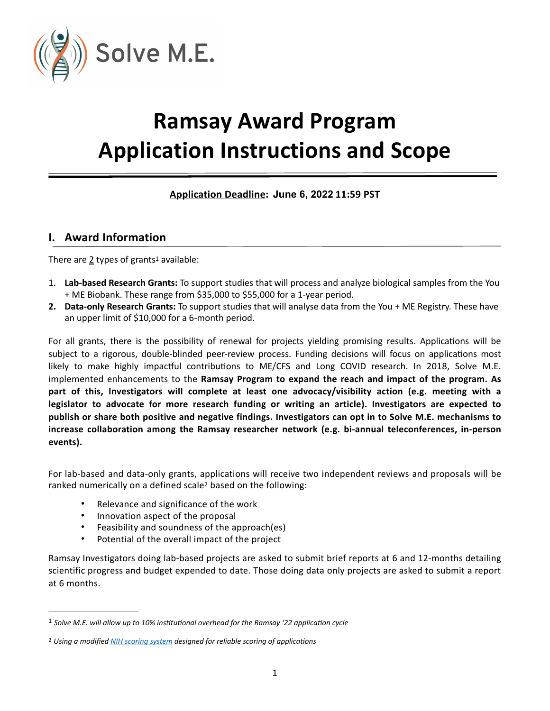

# **Ramsay Award Program Application Instructions and Scope**

## <span id="page-0-2"></span>**<u>Application Deadline</u>: June 6, 2022 11:59 PST**

#### **I. Award Information**

There are  $2$  type[s](#page-0-0) of grants<sup>1</sup> available:

- 1. **Lab-based Research Grants:** To support studies that will process and analyze biological samples from the You + ME Biobank. These range from \$35,000 to \$55,000 for a 1-year period.
- **2. Data-only Research Grants:** To support studies that will analyse data from the You + ME Registry. These have an upper limit of \$10,000 for a 6-month period.

For all grants, there is the possibility of renewal for projects yielding promising results. Applications will be subject to a rigorous, double-blinded peer-review process. Funding decisions will focus on applications most likely to make highly impactful contributions to ME/CFS and Long COVID research. In 2018, Solve M.E. implemented enhancements to the **Ramsay Program to expand the reach and impact of the program. As part of this, Investigators will complete at least one advocacy/visibility action (e.g. meeting with a legislator to advocate for more research funding or writing an article). Investigators are expected to publish or share both positive and negative findings. Investigators can opt in to Solve M.E. mechanisms to increase collaboration among the Ramsay researcher network (e.g. bi-annual teleconferences, in-person events).**

For lab-based and data-only grants, applications will receive two independent reviews and proposals will be ranked numerically on a defined scale<sup>2</sup> based on the following:

- <span id="page-0-3"></span>• Relevance and significance of the work
- Innovation aspect of the proposal
- Feasibility and soundness of the approach(es)
- Potential of the overall impact of the project

Ramsay Investigators doing lab-based projects are asked to submit brief reports at 6 and 12-months detailing scientific progress and budget expended to date. Those doing data only projects are asked to submit a report at 6 months.

<span id="page-0-0"></span><sup>&</sup>lt;sup>[1](#page-0-2)</sup> Solve M.E. will allow up to 10% institutional overhead for the Ramsay '22 application cycle

<span id="page-0-1"></span><sup>&</sup>lt;sup>[2](#page-0-3)</sup> Using a modified *NIH scoring system* designed for reliable scoring of applications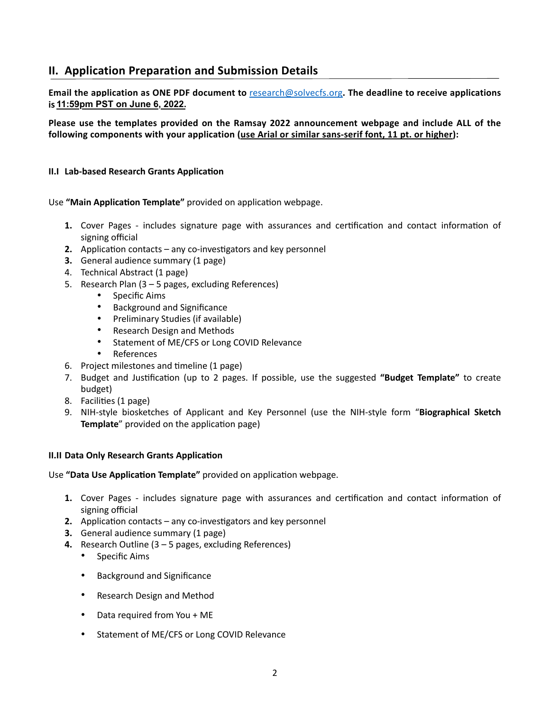## **II. Application Preparation and Submission Details**

**Email the application as ONE PDF document to** [research@solvecfs.org](mailto:research@solvecfs.org)**. The deadline to receive applications is 11:59pm PST on May 23, 2022. 11:59pm PST on June 6, 2022.**

**Please use the templates provided on the Ramsay 2022 announcement webpage and include ALL of the following components with your application (use Arial or similar sans-serif font, 11 pt. or higher):**

#### **II.I** Lab-based Research Grants Application

Use "Main Application Template" provided on application webpage.

- **1.** Cover Pages includes signature page with assurances and certification and contact information of signing official
- **2.** Application contacts any co-investigators and key personnel
- **3.** General audience summary (1 page)
- 4. Technical Abstract (1 page)
- 5. Research Plan (3 5 pages, excluding References)
	- Specific Aims
	- Background and Significance
	- Preliminary Studies (if available)
	- Research Design and Methods
	- Statement of ME/CFS or Long COVID Relevance
	- References
- 6. Project milestones and timeline (1 page)
- 7. Budget and Justification (up to 2 pages. If possible, use the suggested "Budget Template" to create budget)
- 8. Facilities (1 page)
- 9. NIH-style biosketches of Applicant and Key Personnel (use the NIH-style form "**Biographical Sketch Template**" provided on the application page)

#### **II.II Data Only Research Grants Application**

Use "Data Use Application Template" provided on application webpage.

- **1.** Cover Pages includes signature page with assurances and certification and contact information of signing official
- **2.** Application contacts any co-investigators and key personnel
- **3.** General audience summary (1 page)
- **4.** Research Outline (3 5 pages, excluding References)
	- Specific Aims
	- Background and Significance
	- Research Design and Method
	- Data required from You + ME
	- Statement of ME/CFS or Long COVID Relevance